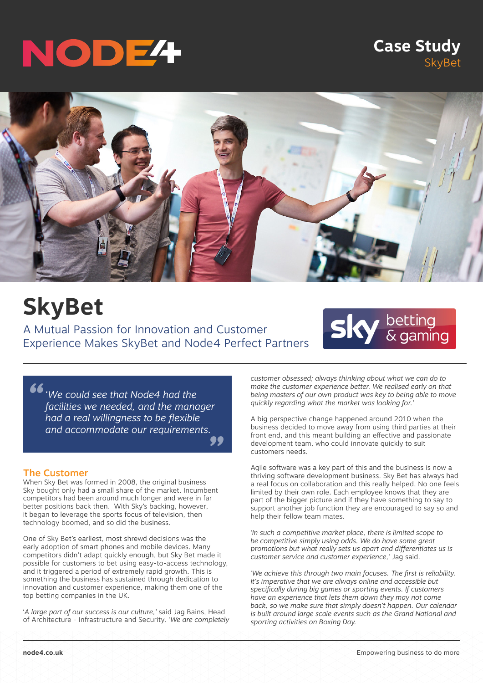# NODE4

### **Case Study** SkyBet



## **SkyBet**

A Mutual Passion for Innovation and Customer Experience Makes SkyBet and Node4 Perfect Partners



*" " 'We could see that Node4 had the facilities we needed, and the manager had a real willingness to be flexible and accommodate our requirements.*

### The Customer

When Sky Bet was formed in 2008, the original business Sky bought only had a small share of the market. Incumbent competitors had been around much longer and were in far better positions back then. With Sky's backing, however, it began to leverage the sports focus of television, then technology boomed, and so did the business.

One of Sky Bet's earliest, most shrewd decisions was the early adoption of smart phones and mobile devices. Many competitors didn't adapt quickly enough, but Sky Bet made it possible for customers to bet using easy-to-access technology, and it triggered a period of extremely rapid growth. This is something the business has sustained through dedication to innovation and customer experience, making them one of the top betting companies in the UK.

'*A large part of our success is our culture,'* said Jag Bains, Head of Architecture - Infrastructure and Security. *'We are completely*  *customer obsessed; always thinking about what we can do to make the customer experience better. We realised early on that being masters of our own product was key to being able to move quickly regarding what the market was looking for.'*

A big perspective change happened around 2010 when the business decided to move away from using third parties at their front end, and this meant building an effective and passionate development team, who could innovate quickly to suit customers needs.

Agile software was a key part of this and the business is now a thriving software development business. Sky Bet has always had a real focus on collaboration and this really helped. No one feels limited by their own role. Each employee knows that they are part of the bigger picture and if they have something to say to support another job function they are encouraged to say so and help their fellow team mates.

*'In such a competitive market place, there is limited scope to be competitive simply using odds. We do have some great promotions but what really sets us apart and differentiates us is customer service and customer experience,'* Jag said.

'*We achieve this through two main focuses. The first is reliability. It's imperative that we are always online and accessible but specifically during big games or sporting events. If customers have an experience that lets them down they may not come back, so we make sure that simply doesn't happen. Our calendar is built around large scale events such as the Grand National and sporting activities on Boxing Day.*